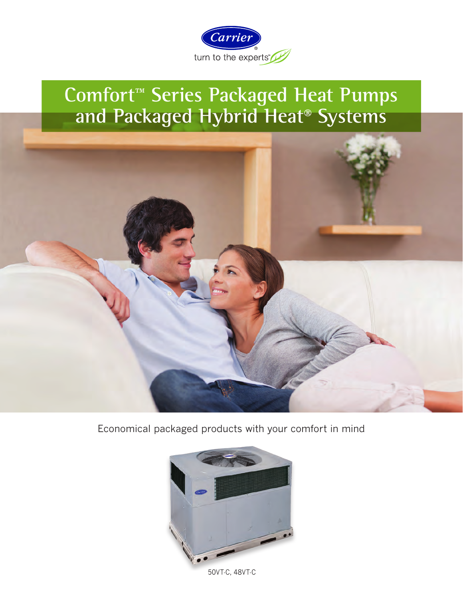

# **Comfort™ Series Packaged Heat Pumps and Packaged Hybrid Heat® Systems**



Economical packaged products with your comfort in mind



50VT-C, 48VT-C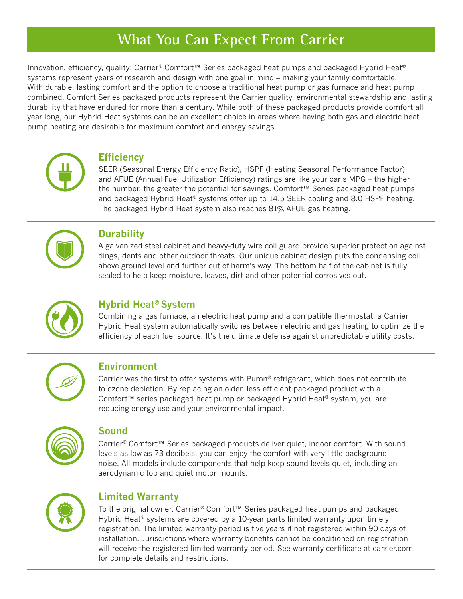## **What You Can Expect From Carrier**

Innovation, efficiency, quality: Carrier® Comfort™ Series packaged heat pumps and packaged Hybrid Heat® systems represent years of research and design with one goal in mind – making your family comfortable. With durable, lasting comfort and the option to choose a traditional heat pump or gas furnace and heat pump combined, Comfort Series packaged products represent the Carrier quality, environmental stewardship and lasting durability that have endured for more than a century. While both of these packaged products provide comfort all year long, our Hybrid Heat systems can be an excellent choice in areas where having both gas and electric heat pump heating are desirable for maximum comfort and energy savings.



#### **Efficiency**

SEER (Seasonal Energy Efficiency Ratio), HSPF (Heating Seasonal Performance Factor) and AFUE (Annual Fuel Utilization Efficiency) ratings are like your car's MPG – the higher the number, the greater the potential for savings. Comfort™ Series packaged heat pumps and packaged Hybrid Heat® systems offer up to 14.5 SEER cooling and 8.0 HSPF heating. The packaged Hybrid Heat system also reaches 81% AFUE gas heating.



#### **Durability**

A galvanized steel cabinet and heavy-duty wire coil guard provide superior protection against dings, dents and other outdoor threats. Our unique cabinet design puts the condensing coil above ground level and further out of harm's way. The bottom half of the cabinet is fully sealed to help keep moisture, leaves, dirt and other potential corrosives out.



### **Hybrid Heat® System**

Combining a gas furnace, an electric heat pump and a compatible thermostat, a Carrier Hybrid Heat system automatically switches between electric and gas heating to optimize the efficiency of each fuel source. It's the ultimate defense against unpredictable utility costs.



#### **Environment**

Carrier was the first to offer systems with Puron® refrigerant, which does not contribute to ozone depletion. By replacing an older, less efficient packaged product with a Comfort™ series packaged heat pump or packaged Hybrid Heat® system, you are reducing energy use and your environmental impact.



#### **Sound**

Carrier® Comfort™ Series packaged products deliver quiet, indoor comfort. With sound levels as low as 73 decibels, you can enjoy the comfort with very little background noise. All models include components that help keep sound levels quiet, including an aerodynamic top and quiet motor mounts.



#### **Limited Warranty**

To the original owner, Carrier® Comfort™ Series packaged heat pumps and packaged Hybrid Heat® systems are covered by a 10-year parts limited warranty upon timely registration. The limited warranty period is five years if not registered within 90 days of installation. Jurisdictions where warranty benefits cannot be conditioned on registration will receive the registered limited warranty period. See warranty certificate at carrier.com for complete details and restrictions.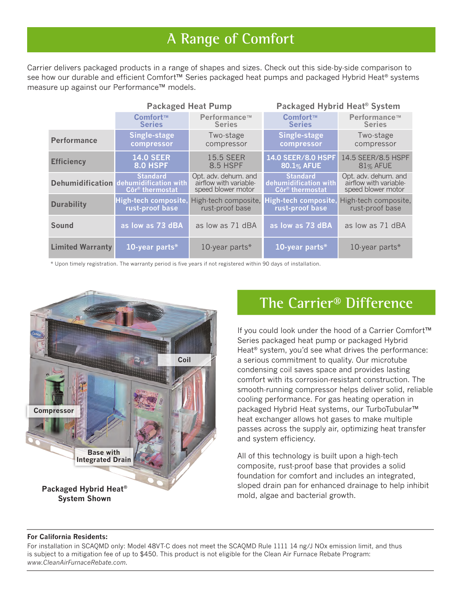## **A Range of Comfort**

Carrier delivers packaged products in a range of shapes and sizes. Check out this side-by-side comparison to see how our durable and efficient Comfort™ Series packaged heat pumps and packaged Hybrid Heat® systems measure up against our Performance™ models.

|                         | <b>Packaged Heat Pump</b>                                                                |                                                                      | Packaged Hybrid Heat <sup>®</sup> System                                |                                                                      |
|-------------------------|------------------------------------------------------------------------------------------|----------------------------------------------------------------------|-------------------------------------------------------------------------|----------------------------------------------------------------------|
|                         | Comfort™                                                                                 | Performance™                                                         | Comfort™                                                                | Performance™                                                         |
|                         | <b>Series</b>                                                                            | <b>Series</b>                                                        | <b>Series</b>                                                           | <b>Series</b>                                                        |
| <b>Performance</b>      | Single-stage                                                                             | Two-stage                                                            | Single-stage                                                            | Two-stage                                                            |
|                         | compressor                                                                               | compressor                                                           | compressor                                                              | compressor                                                           |
| <b>Efficiency</b>       | <b>14.0 SEER</b>                                                                         | <b>15.5 SEER</b>                                                     | 14.0 SEER/8.0 HSPF                                                      | 14.5 SEER/8.5 HSPF                                                   |
|                         | <b>8.0 HSPF</b>                                                                          | 8.5 HSPF                                                             | 80.1% AFUE                                                              | 81% AFUE                                                             |
|                         | <b>Standard</b><br>Dehumidification dehumidification with<br>Côr <sup>®</sup> thermostat | Opt. adv. dehum. and<br>airflow with variable-<br>speed blower motor | <b>Standard</b><br>dehumidification with<br>Côr <sup>®</sup> thermostat | Opt. adv. dehum. and<br>airflow with variable-<br>speed blower motor |
| <b>Durability</b>       | High-tech composite,                                                                     | High-tech composite,                                                 | High-tech composite,                                                    | High-tech composite,                                                 |
|                         | rust-proof base                                                                          | rust-proof base                                                      | rust-proof base                                                         | rust-proof base                                                      |
| Sound                   | as low as 73 dBA                                                                         | as low as 71 dBA                                                     | as low as 73 dBA                                                        | as low as 71 dBA                                                     |
| <b>Limited Warranty</b> | 10-year parts*                                                                           | 10-year parts*                                                       | 10-year parts*                                                          | 10-year parts*                                                       |

\* Upon timely registration. The warranty period is five years if not registered within 90 days of installation.



### **The Carrier® Difference**

If you could look under the hood of a Carrier Comfort™ Series packaged heat pump or packaged Hybrid Heat<sup>®</sup> system, you'd see what drives the performance: a serious commitment to quality. Our microtube condensing coil saves space and provides lasting comfort with its corrosion-resistant construction. The smooth-running compressor helps deliver solid, reliable cooling performance. For gas heating operation in packaged Hybrid Heat systems, our TurboTubular™ heat exchanger allows hot gases to make multiple passes across the supply air, optimizing heat transfer and system efficiency.

All of this technology is built upon a high-tech composite, rust-proof base that provides a solid foundation for comfort and includes an integrated, sloped drain pan for enhanced drainage to help inhibit mold, algae and bacterial growth.

#### **For California Residents:**

For installation in SCAQMD only: Model 48VT-C does not meet the SCAQMD Rule 1111 14 ng/J NOx emission limit, and thus is subject to a mitigation fee of up to \$450. This product is not eligible for the Clean Air Furnace Rebate Program: *www.CleanAirFurnaceRebate.com.*